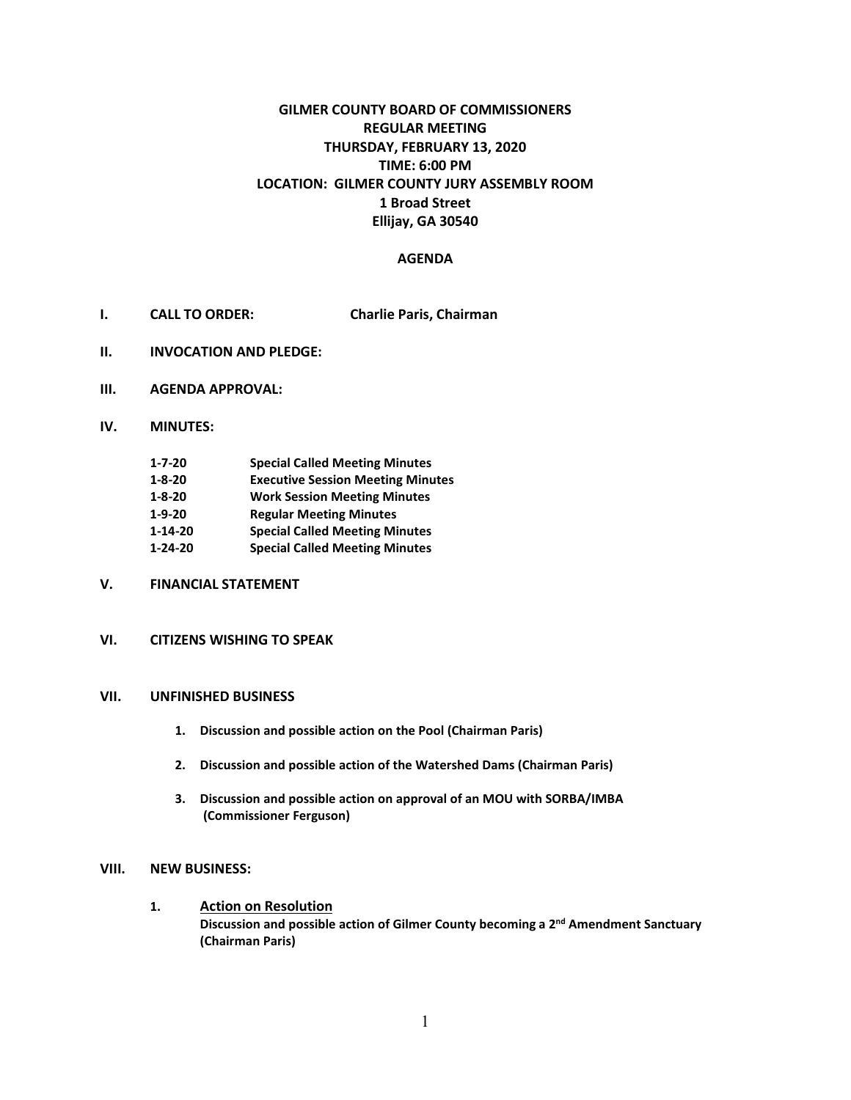# **GILMER COUNTY BOARD OF COMMISSIONERS REGULAR MEETING THURSDAY, FEBRUARY 13, 2020 TIME: 6:00 PM LOCATION: GILMER COUNTY JURY ASSEMBLY ROOM 1 Broad Street Ellijay, GA 30540**

### **AGENDA**

- **I. CALL TO ORDER: Charlie Paris, Chairman**
- **II. INVOCATION AND PLEDGE:**
- **III. AGENDA APPROVAL:**
- **IV. MINUTES:**

| $1 - 7 - 20$  | <b>Special Called Meeting Minutes</b>    |
|---------------|------------------------------------------|
| $1 - 8 - 20$  | <b>Executive Session Meeting Minutes</b> |
| $1 - 8 - 20$  | <b>Work Session Meeting Minutes</b>      |
| $1 - 9 - 20$  | <b>Regular Meeting Minutes</b>           |
| $1 - 14 - 20$ | <b>Special Called Meeting Minutes</b>    |
| $1 - 24 - 20$ | <b>Special Called Meeting Minutes</b>    |

- **V. FINANCIAL STATEMENT**
- **VI. CITIZENS WISHING TO SPEAK**

### **VII. UNFINISHED BUSINESS**

- **1. Discussion and possible action on the Pool (Chairman Paris)**
- **2. Discussion and possible action of the Watershed Dams (Chairman Paris)**
- **3. Discussion and possible action on approval of an MOU with SORBA/IMBA (Commissioner Ferguson)**

#### **VIII. NEW BUSINESS:**

**1. Action on Resolution Discussion and possible action of Gilmer County becoming a 2nd Amendment Sanctuary (Chairman Paris)**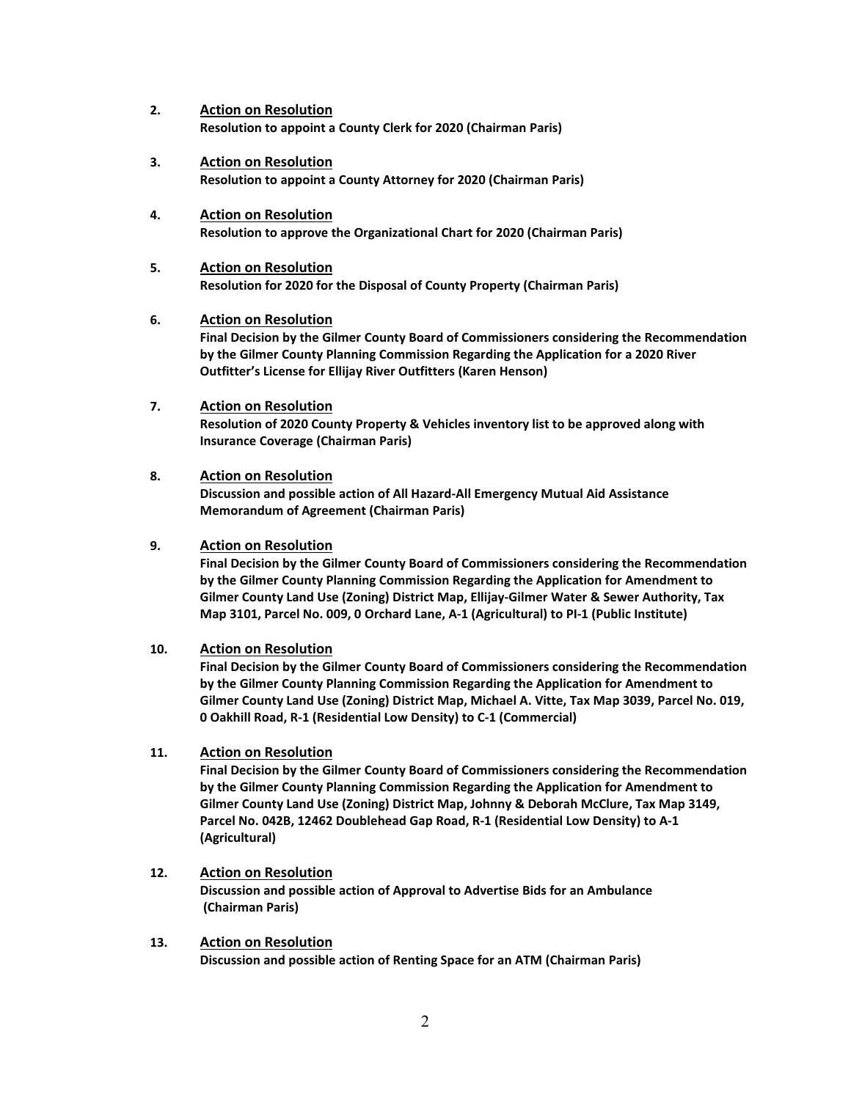- **2. Action on Resolution Resolution to appoint a County Clerk for 2020 (Chairman Paris)**
- **3. Action on Resolution Resolution to appoint a County Attorney for 2020 (Chairman Paris)**
- **4. Action on Resolution Resolution to approve the Organizational Chart for 2020 (Chairman Paris)**
- **5. Action on Resolution Resolution for 2020 for the Disposal of County Property (Chairman Paris)**

### **6. Action on Resolution**

**Final Decision by the Gilmer County Board of Commissioners considering the Recommendation by the Gilmer County Planning Commission Regarding the Application for a 2020 River Outfitter's License for Ellijay River Outfitters (Karen Henson)**

**7. Action on Resolution Resolution of 2020 County Property & Vehicles inventory list to be approved along with Insurance Coverage (Chairman Paris)**

# **8. Action on Resolution**

**Discussion and possible action of All Hazard-All Emergency Mutual Aid Assistance Memorandum of Agreement (Chairman Paris)**

# **9. Action on Resolution**

**Final Decision by the Gilmer County Board of Commissioners considering the Recommendation by the Gilmer County Planning Commission Regarding the Application for Amendment to Gilmer County Land Use (Zoning) District Map, Ellijay-Gilmer Water & Sewer Authority, Tax Map 3101, Parcel No. 009, 0 Orchard Lane, A-1 (Agricultural) to PI-1 (Public Institute)**

# **10. Action on Resolution**

**Final Decision by the Gilmer County Board of Commissioners considering the Recommendation by the Gilmer County Planning Commission Regarding the Application for Amendment to Gilmer County Land Use (Zoning) District Map, Michael A. Vitte, Tax Map 3039, Parcel No. 019, 0 Oakhill Road, R-1 (Residential Low Density) to C-1 (Commercial)**

# **11. Action on Resolution**

**Final Decision by the Gilmer County Board of Commissioners considering the Recommendation by the Gilmer County Planning Commission Regarding the Application for Amendment to Gilmer County Land Use (Zoning) District Map, Johnny & Deborah McClure, Tax Map 3149, Parcel No. 042B, 12462 Doublehead Gap Road, R-1 (Residential Low Density) to A-1 (Agricultural)**

- **12. Action on Resolution Discussion and possible action of Approval to Advertise Bids for an Ambulance (Chairman Paris)**
- **13. Action on Resolution Discussion and possible action of Renting Space for an ATM (Chairman Paris)**